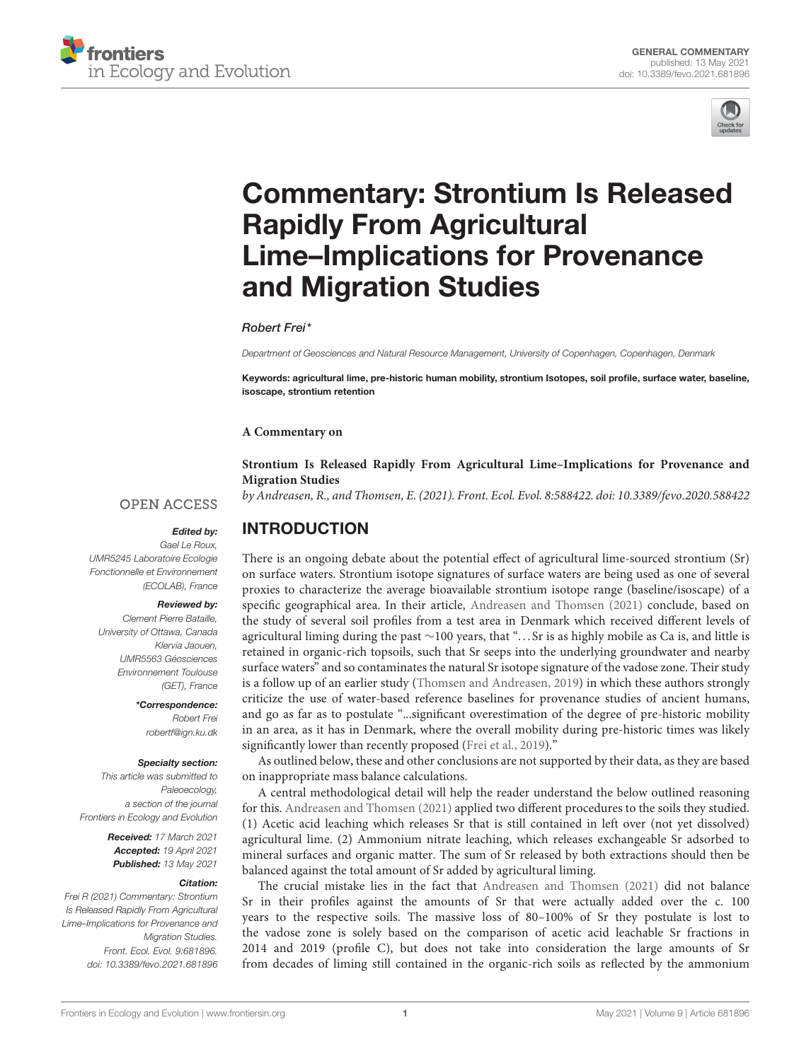



# [Commentary: Strontium Is Released](https://www.frontiersin.org/articles/10.3389/fevo.2021.681896/full) Rapidly From Agricultural Lime–Implications for Provenance and Migration Studies

Robert Frei\*

Department of Geosciences and Natural Resource Management, University of Copenhagen, Copenhagen, Denmark

Keywords: agricultural lime, pre-historic human mobility, strontium Isotopes, soil profile, surface water, baseline, isoscape, strontium retention

#### **A Commentary on**

### **[Strontium Is Released Rapidly From Agricultural Lime–Implications for Provenance and](https://doi.org/10.3389/fevo.2020.588422) Migration Studies**

by Andreasen, R., and Thomsen, E. (2021). Front. Ecol. Evol. 8:588422. doi: [10.3389/fevo.2020.588422](https://doi.org/10.3389/fevo.2020.588422)

### **OPEN ACCESS**

### Edited by:

Gael Le Roux, UMR5245 Laboratoire Ecologie Fonctionnelle et Environnement (ECOLAB), France

### Reviewed by:

Clement Pierre Bataille, University of Ottawa, Canada Klervia Jaouen, UMR5563 Géosciences Environnement Toulouse (GET), France

> \*Correspondence: Robert Frei [robertf@ign.ku.dk](mailto:robertf@ign.ku.dk)

#### Specialty section:

This article was submitted to Paleoecology, a section of the journal Frontiers in Ecology and Evolution

> Received: 17 March 2021 Accepted: 19 April 2021 Published: 13 May 2021

#### Citation:

Frei R (2021) Commentary: Strontium Is Released Rapidly From Agricultural Lime–Implications for Provenance and **Migration Studies.** Front. Ecol. Evol. 9:681896. doi: [10.3389/fevo.2021.681896](https://doi.org/10.3389/fevo.2021.681896) INTRODUCTION

There is an ongoing debate about the potential effect of agricultural lime-sourced strontium (Sr) on surface waters. Strontium isotope signatures of surface waters are being used as one of several proxies to characterize the average bioavailable strontium isotope range (baseline/isoscape) of a specific geographical area. In their article, [Andreasen and Thomsen \(2021\)](#page-3-0) conclude, based on the study of several soil profiles from a test area in Denmark which received different levels of agricultural liming during the past ∼100 years, that ". . . Sr is as highly mobile as Ca is, and little is retained in organic-rich topsoils, such that Sr seeps into the underlying groundwater and nearby surface waters" and so contaminates the natural Sr isotope signature of the vadose zone. Their study is a follow up of an earlier study [\(Thomsen and Andreasen, 2019\)](#page-3-1) in which these authors strongly criticize the use of water-based reference baselines for provenance studies of ancient humans, and go as far as to postulate "...significant overestimation of the degree of pre-historic mobility in an area, as it has in Denmark, where the overall mobility during pre-historic times was likely significantly lower than recently proposed [\(Frei et al., 2019\)](#page-3-2)."

As outlined below, these and other conclusions are not supported by their data, as they are based on inappropriate mass balance calculations.

A central methodological detail will help the reader understand the below outlined reasoning for this. [Andreasen and Thomsen \(2021\)](#page-3-0) applied two different procedures to the soils they studied. (1) Acetic acid leaching which releases Sr that is still contained in left over (not yet dissolved) agricultural lime. (2) Ammonium nitrate leaching, which releases exchangeable Sr adsorbed to mineral surfaces and organic matter. The sum of Sr released by both extractions should then be balanced against the total amount of Sr added by agricultural liming.

The crucial mistake lies in the fact that [Andreasen and Thomsen \(2021\)](#page-3-0) did not balance Sr in their profiles against the amounts of Sr that were actually added over the c. 100 years to the respective soils. The massive loss of 80–100% of Sr they postulate is lost to the vadose zone is solely based on the comparison of acetic acid leachable Sr fractions in 2014 and 2019 (profile C), but does not take into consideration the large amounts of Sr from decades of liming still contained in the organic-rich soils as reflected by the ammonium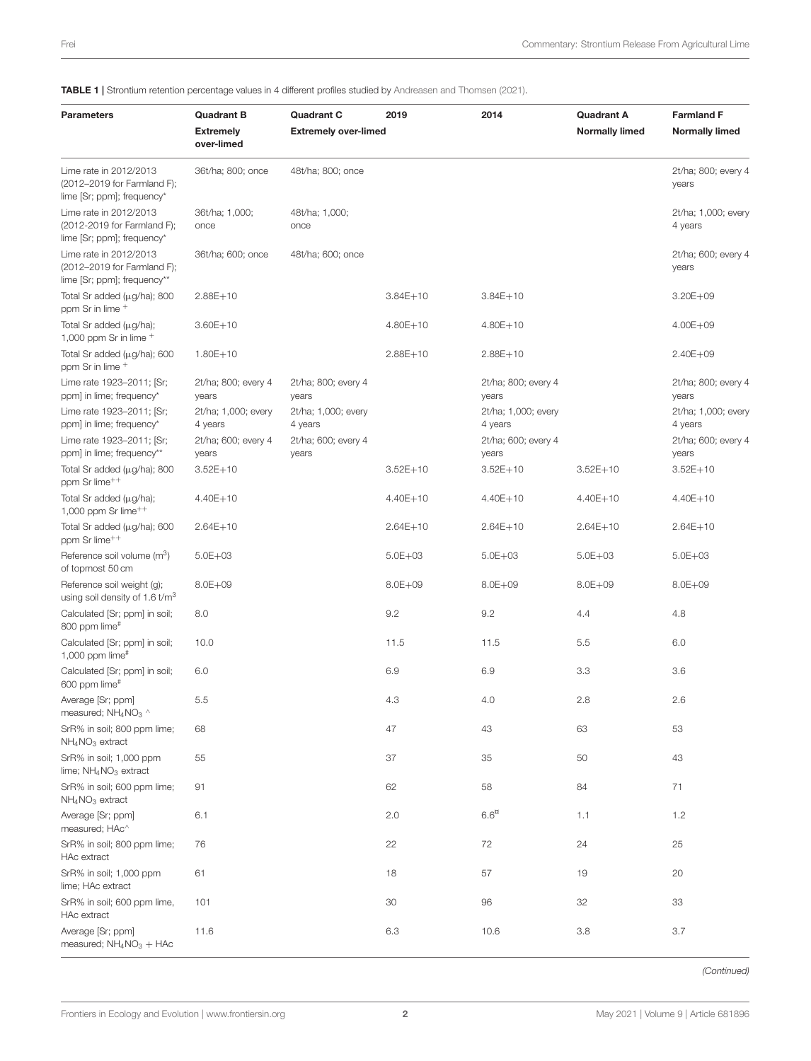<span id="page-1-0"></span>TABLE 1 | Strontium retention percentage values in 4 different profiles studied by [Andreasen and Thomsen \(2021\)](#page-3-0).

| <b>Parameters</b>                                                                    | <b>Quadrant B</b><br><b>Extremely</b><br>over-limed | <b>Quadrant C</b><br><b>Extremely over-limed</b> | 2019         | 2014                           | <b>Quadrant A</b><br><b>Normally limed</b> | <b>Farmland F</b><br><b>Normally limed</b> |
|--------------------------------------------------------------------------------------|-----------------------------------------------------|--------------------------------------------------|--------------|--------------------------------|--------------------------------------------|--------------------------------------------|
| Lime rate in 2012/2013<br>(2012-2019 for Farmland F);<br>lime [Sr; ppm]; frequency*  | 36t/ha; 800; once                                   | 48t/ha; 800; once                                |              |                                |                                            | 2t/ha; 800; every 4<br>years               |
| Lime rate in 2012/2013<br>(2012-2019 for Farmland F);<br>lime [Sr; ppm]; frequency*  | 36t/ha; 1,000;<br>once                              | 48t/ha; 1,000;<br>once                           |              |                                |                                            | 2t/ha; 1,000; every<br>4 years             |
| Lime rate in 2012/2013<br>(2012-2019 for Farmland F);<br>lime [Sr; ppm]; frequency** | 36t/ha; 600; once                                   | 48t/ha; 600; once                                |              |                                |                                            | 2t/ha; 600; every 4<br>years               |
| Total Sr added $(\mu g/ha)$ ; 800<br>ppm Sr in lime +                                | $2.88E + 10$                                        |                                                  | $3.84E + 10$ | $3.84E + 10$                   |                                            | $3.20E + 09$                               |
| Total Sr added $(\mu g/ha)$ ;<br>1,000 ppm Sr in lime $^+$                           | $3.60E + 10$                                        |                                                  | $4.80E + 10$ | $4.80E + 10$                   |                                            | $4.00E + 09$                               |
| Total Sr added $(\mu g/ha)$ ; 600<br>ppm Sr in lime +                                | $1.80E + 10$                                        |                                                  | $2.88E + 10$ | $2.88E + 10$                   |                                            | $2.40E + 09$                               |
| Lime rate 1923-2011; [Sr;<br>ppm] in lime; frequency*                                | 2t/ha; 800; every 4<br>years                        | 2t/ha; 800; every 4<br>years                     |              | 2t/ha; 800; every 4<br>years   |                                            | 2t/ha; 800; every 4<br>years               |
| Lime rate 1923-2011; [Sr;<br>ppm] in lime; frequency*                                | 2t/ha; 1,000; every<br>4 years                      | 2t/ha; 1,000; every<br>4 years                   |              | 2t/ha; 1,000; every<br>4 years |                                            | 2t/ha; 1,000; every<br>4 years             |
| Lime rate 1923-2011; [Sr;<br>ppm] in lime; frequency**                               | 2t/ha; 600; every 4<br>years                        | 2t/ha; 600; every 4<br>years                     |              | 2t/ha; 600; every 4<br>years   |                                            | 2t/ha; 600; every 4<br>years               |
| Total Sr added $(\mu g/ha)$ ; 800<br>ppm Sr lime <sup>++</sup>                       | $3.52E + 10$                                        |                                                  | $3.52E + 10$ | $3.52E + 10$                   | $3.52E + 10$                               | $3.52E + 10$                               |
| Total Sr added $(\mu g/ha)$ ;<br>1,000 ppm Sr $lime++$                               | 4.40E+10                                            |                                                  | $4.40E + 10$ | 4.40E+10                       | 4.40E+10                                   | 4.40E+10                                   |
| Total Sr added $(\mu g/ha)$ ; 600<br>ppm Sr lime <sup>++</sup>                       | $2.64E + 10$                                        |                                                  | $2.64E + 10$ | $2.64E + 10$                   | $2.64E + 10$                               | $2.64E + 10$                               |
| Reference soil volume (m <sup>3</sup> )<br>of topmost 50 cm                          | $5.0E + 03$                                         |                                                  | $5.0E + 03$  | $5.0E + 03$                    | $5.0E + 03$                                | $5.0E + 03$                                |
| Reference soil weight (g);<br>using soil density of 1.6 t/m <sup>3</sup>             | $8.0E + 09$                                         |                                                  | $8.0E + 09$  | $8.0E + 09$                    | $8.0E + 09$                                | $8.0E + 09$                                |
| Calculated [Sr; ppm] in soil;<br>800 ppm lime#                                       | 8.0                                                 |                                                  | 9.2          | 9.2                            | 4.4                                        | 4.8                                        |
| Calculated [Sr; ppm] in soil;<br>1,000 ppm $lime$ #                                  | 10.0                                                |                                                  | 11.5         | 11.5                           | 5.5                                        | 6.0                                        |
| Calculated [Sr; ppm] in soil;<br>600 ppm lime#                                       | 6.0                                                 |                                                  | 6.9          | 6.9                            | 3.3                                        | 3.6                                        |
| Average [Sr; ppm]<br>measured; $NH_4NO_3$                                            | 5.5                                                 |                                                  | 4.3          | 4.0                            | 2.8                                        | 2.6                                        |
| SrR% in soil; 800 ppm lime;<br>NH <sub>4</sub> NO <sub>3</sub> extract               | 68                                                  |                                                  | 47           | 43                             | 63                                         | 53                                         |
| SrR% in soil; 1,000 ppm<br>lime; $NH4NO3$ extract                                    | 55                                                  |                                                  | 37           | 35                             | 50                                         | 43                                         |
| SrR% in soil; 600 ppm lime;<br>$NH4NO3$ extract                                      | 91                                                  |                                                  | 62           | 58                             | 84                                         | 71                                         |
| Average [Sr; ppm]<br>measured; HAc^                                                  | 6.1                                                 |                                                  | 2.0          | 6.6 <sup>n</sup>               | 1.1                                        | 1.2                                        |
| SrR% in soil; 800 ppm lime;<br>HAc extract                                           | 76                                                  |                                                  | 22           | 72                             | 24                                         | 25                                         |
| SrR% in soil; 1,000 ppm<br>lime; HAc extract                                         | 61                                                  |                                                  | 18           | 57                             | 19                                         | 20                                         |
| SrR% in soil; 600 ppm lime,<br>HAc extract                                           | 101                                                 |                                                  | 30           | 96                             | 32                                         | 33                                         |
| Average [Sr; ppm]<br>measured; $NH_4NO_3 + HAc$                                      | 11.6                                                |                                                  | 6.3          | 10.6                           | 3.8                                        | 3.7                                        |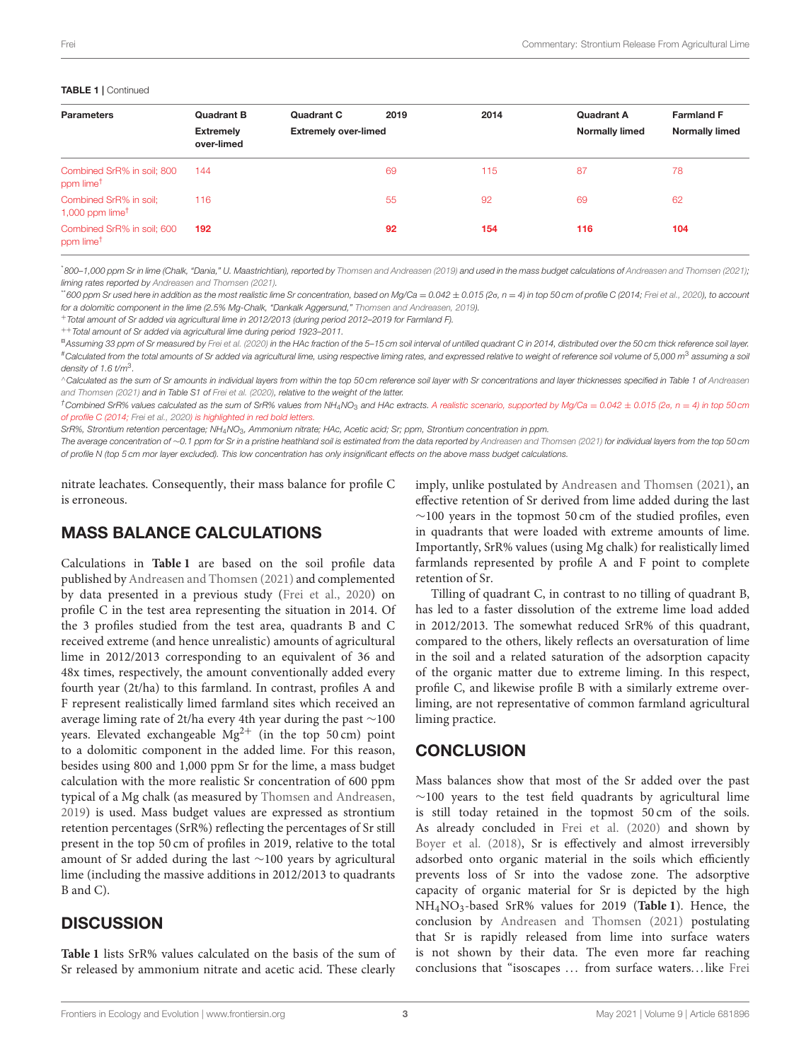| <b>Quadrant B</b>              | <b>Quadrant C</b> | 2019                  | 2014                        | <b>Quadrant A</b> | <b>Farmland F</b> |
|--------------------------------|-------------------|-----------------------|-----------------------------|-------------------|-------------------|
| <b>Extremely</b><br>over-limed |                   | <b>Normally limed</b> | <b>Normally limed</b>       |                   |                   |
| 144                            |                   | 69                    | 115                         | 87                | 78                |
| 116                            |                   | 55                    | 92                          | 69                | 62                |
| 192                            |                   | 92                    | 154                         | 116               | 104               |
|                                |                   |                       | <b>Extremely over-limed</b> |                   |                   |

\*800–1,000 ppm Sr in lime (Chalk, "Dania," U. Maastrichtian), reported by [Thomsen and Andreasen \(2019\)](#page-3-1) and used in the mass budget calculations of [Andreasen and Thomsen \(2021\)](#page-3-0); liming rates reported by [Andreasen and Thomsen \(2021\)](#page-3-0).

 $\ddot{ }$ 600 ppm Sr used here in addition as the most realistic lime Sr concentration, based on Ma/Ca = 0.042  $\pm$  0.015 (2σ, n = 4) in top 50 cm of profile C (2014; [Frei et al., 2020\)](#page-3-3), to account for a dolomitic component in the lime (2.5% Mg-Chalk, "Dankalk Aggersund," [Thomsen and Andreasen, 2019\)](#page-3-1).

<sup>+</sup>Total amount of Sr added via agricultural lime in 2012/2013 (during period 2012–2019 for Farmland F).

++Total amount of Sr added via agricultural lime during period 1923–2011.

<sup>n</sup> Assuming 33 ppm of Sr measured by [Frei et al. \(2020\)](#page-3-3) in the HAc fraction of the 5–15 cm soil interval of untilled quadrant C in 2014, distributed over the 50 cm thick reference soil layer. #Calculated from the total amounts of Sr added via agricultural lime, using respective liming rates, and expressed relative to weight of reference soil volume of 5,000 m<sup>3</sup> assuming a soil density of 1.6 t/m $3$ .

<sup>∧</sup>Calculated as the sum of Sr amounts in individual layers from within the top 50 cm reference soil layer with Sr concentrations and layer thicknesses specified in Table 1 of Andreasen and Thomsen [\(2021\)](#page-3-0) and in Table S1 of [Frei et al. \(2020\)](#page-3-3), relative to the weight of the latter.

 $\hbar$ Combined SrR% values calculated as the sum of SrR% values from NH<sub>4</sub>NO<sub>3</sub> and HAc extracts. A realistic scenario, supported by Mg/Ca = 0.042  $\pm$  0.015 (2σ, n = 4) in top 50 cm of profile C (2014; [Frei et al., 2020\)](#page-3-3) is highlighted in red bold letters.

SrR%, Strontium retention percentage; NH4NO3, Ammonium nitrate; HAc, Acetic acid; Sr; ppm, Strontium concentration in ppm.

The average concentration of ~0.1 ppm for Sr in a pristine heathland soil is estimated from the data reported by [Andreasen and Thomsen \(2021\)](#page-3-0) for individual layers from the top 50 cm of profile N (top 5 cm mor layer excluded). This low concentration has only insignificant effects on the above mass budget calculations.

nitrate leachates. Consequently, their mass balance for profile C is erroneous.

# MASS BALANCE CALCULATIONS

Calculations in **[Table 1](#page-1-0)** are based on the soil profile data published by [Andreasen and Thomsen \(2021\)](#page-3-0) and complemented by data presented in a previous study [\(Frei et al., 2020\)](#page-3-3) on profile C in the test area representing the situation in 2014. Of the 3 profiles studied from the test area, quadrants B and C received extreme (and hence unrealistic) amounts of agricultural lime in 2012/2013 corresponding to an equivalent of 36 and 48x times, respectively, the amount conventionally added every fourth year (2t/ha) to this farmland. In contrast, profiles A and F represent realistically limed farmland sites which received an average liming rate of 2t/ha every 4th year during the past ∼100 years. Elevated exchangeable  $Mg^{2+}$  (in the top 50 cm) point to a dolomitic component in the added lime. For this reason, besides using 800 and 1,000 ppm Sr for the lime, a mass budget calculation with the more realistic Sr concentration of 600 ppm typical of a Mg chalk (as measured by [Thomsen and Andreasen,](#page-3-1) [2019\)](#page-3-1) is used. Mass budget values are expressed as strontium retention percentages (SrR%) reflecting the percentages of Sr still present in the top 50 cm of profiles in 2019, relative to the total amount of Sr added during the last ∼100 years by agricultural lime (including the massive additions in 2012/2013 to quadrants B and C).

# **DISCUSSION**

**[Table 1](#page-1-0)** lists SrR% values calculated on the basis of the sum of Sr released by ammonium nitrate and acetic acid. These clearly imply, unlike postulated by [Andreasen and Thomsen \(2021\)](#page-3-0), an effective retention of Sr derived from lime added during the last ∼100 years in the topmost 50 cm of the studied profiles, even in quadrants that were loaded with extreme amounts of lime. Importantly, SrR% values (using Mg chalk) for realistically limed farmlands represented by profile A and F point to complete retention of Sr.

Tilling of quadrant C, in contrast to no tilling of quadrant B, has led to a faster dissolution of the extreme lime load added in 2012/2013. The somewhat reduced SrR% of this quadrant, compared to the others, likely reflects an oversaturation of lime in the soil and a related saturation of the adsorption capacity of the organic matter due to extreme liming. In this respect, profile C, and likewise profile B with a similarly extreme overliming, are not representative of common farmland agricultural liming practice.

## **CONCLUSION**

Mass balances show that most of the Sr added over the past ∼100 years to the test field quadrants by agricultural lime is still today retained in the topmost 50 cm of the soils. As already concluded in [Frei et al. \(2020\)](#page-3-3) and shown by [Boyer et al. \(2018\)](#page-3-4), Sr is effectively and almost irreversibly adsorbed onto organic material in the soils which efficiently prevents loss of Sr into the vadose zone. The adsorptive capacity of organic material for Sr is depicted by the high NH4NO3-based SrR% values for 2019 (**[Table 1](#page-1-0)**). Hence, the conclusion by [Andreasen and Thomsen \(2021\)](#page-3-0) postulating that Sr is rapidly released from lime into surface waters is not shown by their data. The even more far reaching conclusions that "isoscapes ... from surface waters...like Frei